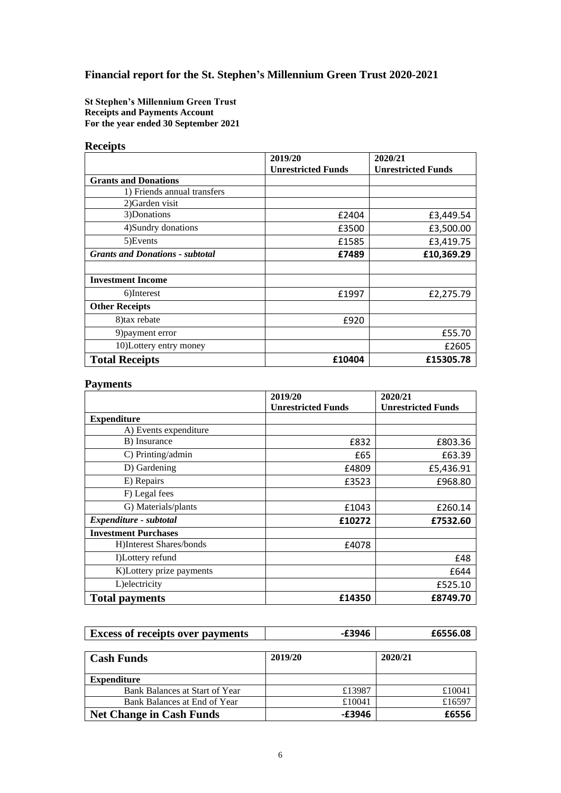# **Financial report for the St. Stephen's Millennium Green Trust 2020-2021**

**St Stephen's Millennium Green Trust Receipts and Payments Account For the year ended 30 September 2021**

### **Receipts**

|                                        | 2019/20                   | 2020/21                   |  |
|----------------------------------------|---------------------------|---------------------------|--|
|                                        | <b>Unrestricted Funds</b> | <b>Unrestricted Funds</b> |  |
| <b>Grants and Donations</b>            |                           |                           |  |
| 1) Friends annual transfers            |                           |                           |  |
| 2) Garden visit                        |                           |                           |  |
| 3)Donations                            | £2404                     | £3,449.54                 |  |
| 4) Sundry donations                    | £3500                     | £3,500.00                 |  |
| 5) Events                              | £1585                     | £3,419.75                 |  |
| <b>Grants and Donations - subtotal</b> | £7489                     | £10,369.29                |  |
|                                        |                           |                           |  |
| <b>Investment Income</b>               |                           |                           |  |
| 6)Interest                             | £1997                     | £2,275.79                 |  |
| <b>Other Receipts</b>                  |                           |                           |  |
| 8) tax rebate                          | £920                      |                           |  |
| 9) payment error                       |                           | £55.70                    |  |
| 10) Lottery entry money                |                           | £2605                     |  |
| <b>Total Receipts</b>                  | £10404                    | £15305.78                 |  |

## **Payments**

|                             | 2019/20                   | 2020/21                   |  |
|-----------------------------|---------------------------|---------------------------|--|
|                             | <b>Unrestricted Funds</b> | <b>Unrestricted Funds</b> |  |
| <b>Expenditure</b>          |                           |                           |  |
| A) Events expenditure       |                           |                           |  |
| B) Insurance                | £832                      | £803.36                   |  |
| C) Printing/admin           | £65                       | £63.39                    |  |
| D) Gardening                | £4809                     | £5,436.91                 |  |
| E) Repairs                  | £3523                     | £968.80                   |  |
| F) Legal fees               |                           |                           |  |
| G) Materials/plants         | £1043                     | £260.14                   |  |
| Expenditure - subtotal      | £10272                    | £7532.60                  |  |
| <b>Investment Purchases</b> |                           |                           |  |
| H)Interest Shares/bonds     | £4078                     |                           |  |
| I)Lottery refund            |                           | £48                       |  |
| K)Lottery prize payments    |                           | £644                      |  |
| L) electricity              |                           | £525.10                   |  |
| <b>Total payments</b>       | £14350                    | £8749.70                  |  |

| <b>Excess of receipts over payments</b> | £3946 | £6556.08 |
|-----------------------------------------|-------|----------|
|                                         |       |          |
|                                         |       |          |

| Cash Funds                      | 2019/20 | 2020/21 |
|---------------------------------|---------|---------|
| <b>Expenditure</b>              |         |         |
| Bank Balances at Start of Year  | £13987  | £10041  |
| Bank Balances at End of Year    | £10041  | £16597  |
| <b>Net Change in Cash Funds</b> | -£3946  | £6556   |